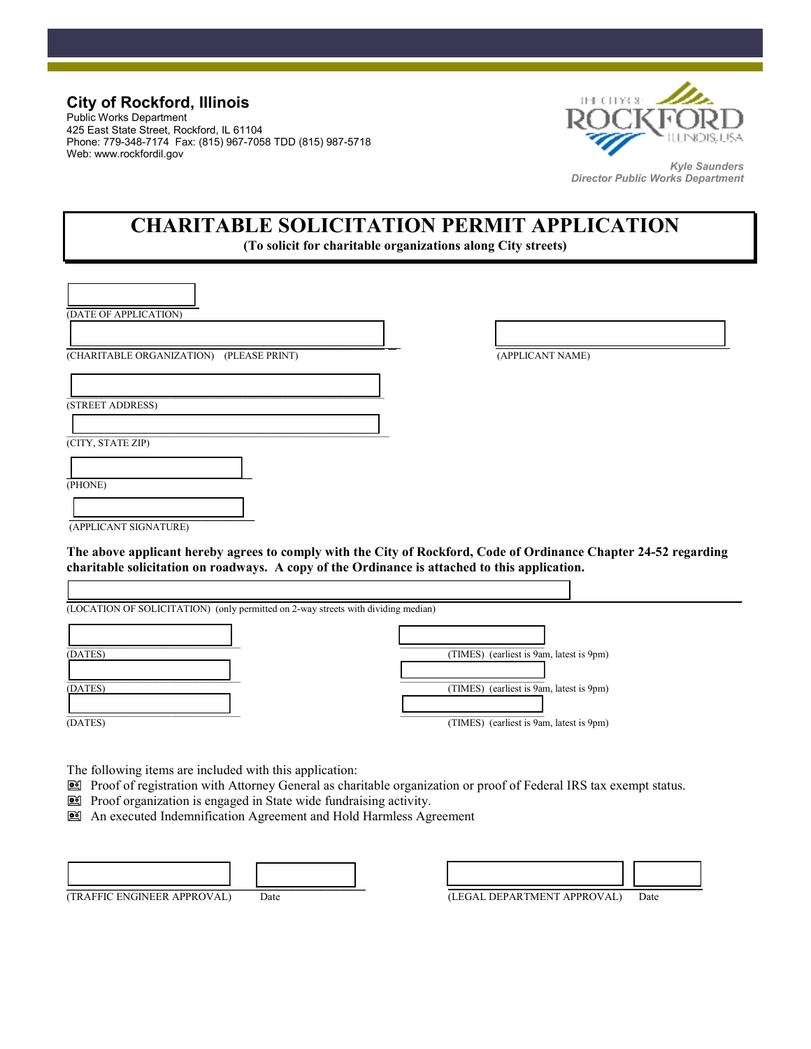### **City of Rockford, Illinois**

Public Works Department 425 East State Street, Rockford, IL 61104 Phone: 779-348-7174 Fax: (815) 967-7058 TDD (815) 987-5718 Web: www.rockfordil.gov



*Kyle Saunders Director Public Works Department* 

# **CHARITABLE SOLICITATION PERMIT APPLICATION**

**(To solicit for charitable organizations along City streets)** 

| (DATE OF APPLICATION)                    |                  |
|------------------------------------------|------------------|
| (CHARITABLE ORGANIZATION) (PLEASE PRINT) | (APPLICANT NAME) |
| (STREET ADDRESS)                         |                  |
|                                          |                  |
| (CITY, STATE ZIP)                        |                  |
| (PHONE)                                  |                  |
|                                          |                  |

(APPLICANT SIGNATURE)

### **The above applicant hereby agrees to comply with the City of Rockford, Code of Ordinance Chapter 24-52 regarding charitable solicitation on roadways. A copy of the Ordinance is attached to this application.**



The following items are included with this application:

- Proof of registration with Attorney General as charitable organization or proof of Federal IRS tax exempt status.
- Proof organization is engaged in State wide fundraising activity.
- An executed Indemnification Agreement and Hold Harmless Agreement

| .<br>.<br>.<br>. | . | . |
|------------------|---|---|

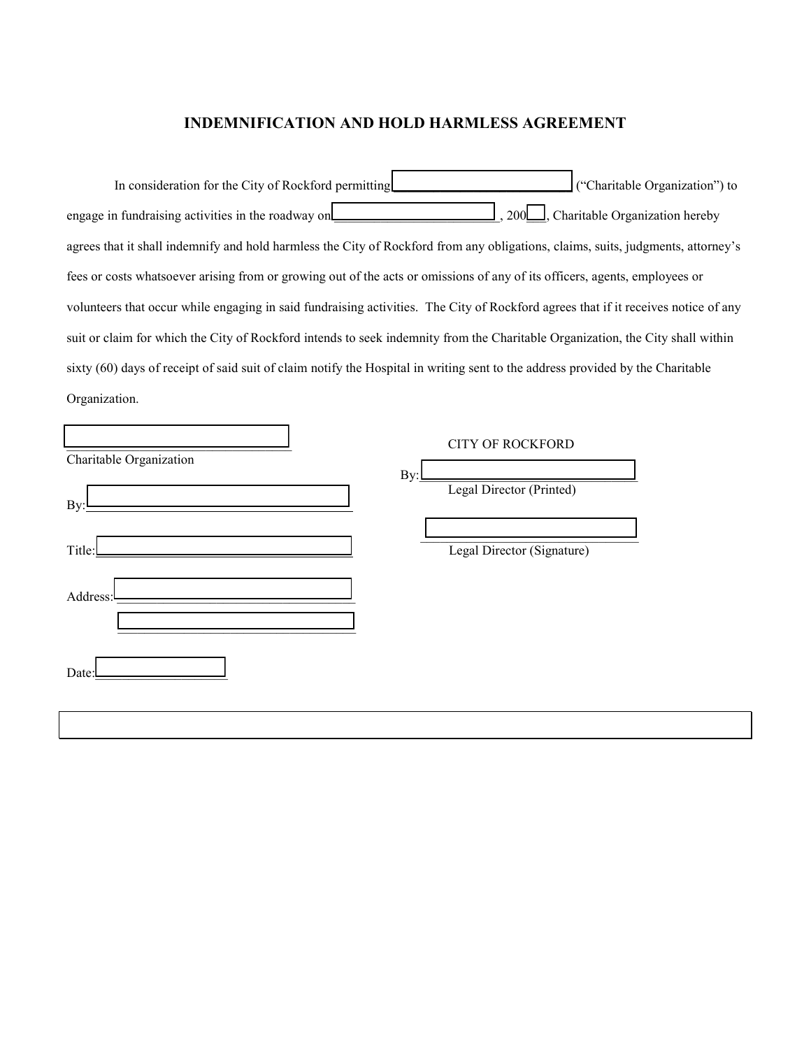### **INDEMNIFICATION AND HOLD HARMLESS AGREEMENT**

| In consideration for the City of Rockford permitting                                                                               | ("Charitable Organization") to   |
|------------------------------------------------------------------------------------------------------------------------------------|----------------------------------|
| engage in fundraising activities in the roadway on                                                                                 | , Charitable Organization hereby |
| agrees that it shall indemnify and hold harmless the City of Rockford from any obligations, claims, suits, judgments, attorney's   |                                  |
| fees or costs whatsoever arising from or growing out of the acts or omissions of any of its officers, agents, employees or         |                                  |
| volunteers that occur while engaging in said fundraising activities. The City of Rockford agrees that if it receives notice of any |                                  |
| suit or claim for which the City of Rockford intends to seek indemnity from the Charitable Organization, the City shall within     |                                  |
| sixty (60) days of receipt of said suit of claim notify the Hospital in writing sent to the address provided by the Charitable     |                                  |
| Organization.                                                                                                                      |                                  |

| Charitable Organization                                  |     | <b>CITY OF ROCKFORD</b>    |
|----------------------------------------------------------|-----|----------------------------|
|                                                          | By: |                            |
| By:                                                      |     | Legal Director (Printed)   |
| Title:                                                   |     | Legal Director (Signature) |
| the control of the control of the control of<br>Address: |     |                            |
|                                                          |     |                            |
| Date:                                                    |     |                            |
|                                                          |     |                            |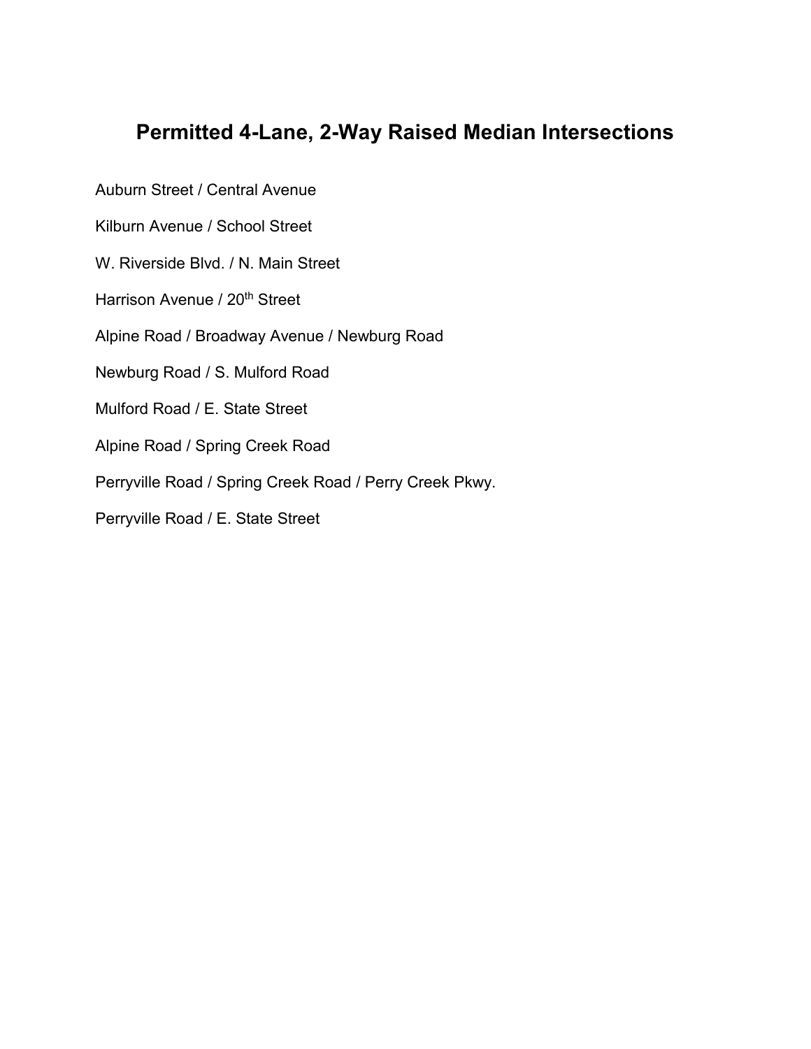## **Permitted 4-Lane, 2-Way Raised Median Intersections**

Auburn Street / Central Avenue

Kilburn Avenue / School Street

W. Riverside Blvd. / N. Main Street

Harrison Avenue / 20<sup>th</sup> Street

Alpine Road / Broadway Avenue / Newburg Road

Newburg Road / S. Mulford Road

Mulford Road / E. State Street

Alpine Road / Spring Creek Road

Perryville Road / Spring Creek Road / Perry Creek Pkwy.

Perryville Road / E. State Street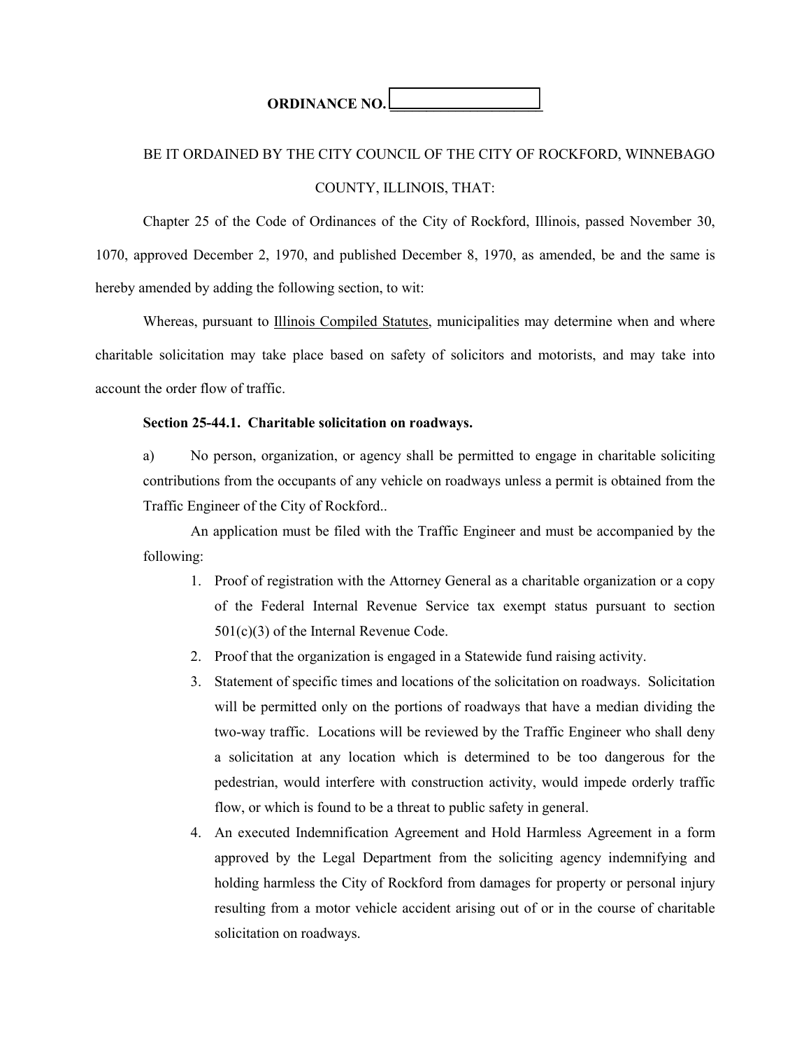**ORDINANCE NO.** 

## BE IT ORDAINED BY THE CITY COUNCIL OF THE CITY OF ROCKFORD, WINNEBAGO

### COUNTY, ILLINOIS, THAT:

 Chapter 25 of the Code of Ordinances of the City of Rockford, Illinois, passed November 30, 1070, approved December 2, 1970, and published December 8, 1970, as amended, be and the same is hereby amended by adding the following section, to wit:

 Whereas, pursuant to Illinois Compiled Statutes, municipalities may determine when and where charitable solicitation may take place based on safety of solicitors and motorists, and may take into account the order flow of traffic.

### **Section 25-44.1. Charitable solicitation on roadways.**

a) No person, organization, or agency shall be permitted to engage in charitable soliciting contributions from the occupants of any vehicle on roadways unless a permit is obtained from the Traffic Engineer of the City of Rockford..

An application must be filed with the Traffic Engineer and must be accompanied by the following:

- 1. Proof of registration with the Attorney General as a charitable organization or a copy of the Federal Internal Revenue Service tax exempt status pursuant to section 501(c)(3) of the Internal Revenue Code.
- 2. Proof that the organization is engaged in a Statewide fund raising activity.
- 3. Statement of specific times and locations of the solicitation on roadways. Solicitation will be permitted only on the portions of roadways that have a median dividing the two-way traffic. Locations will be reviewed by the Traffic Engineer who shall deny a solicitation at any location which is determined to be too dangerous for the pedestrian, would interfere with construction activity, would impede orderly traffic flow, or which is found to be a threat to public safety in general.
- 4. An executed Indemnification Agreement and Hold Harmless Agreement in a form approved by the Legal Department from the soliciting agency indemnifying and holding harmless the City of Rockford from damages for property or personal injury resulting from a motor vehicle accident arising out of or in the course of charitable solicitation on roadways.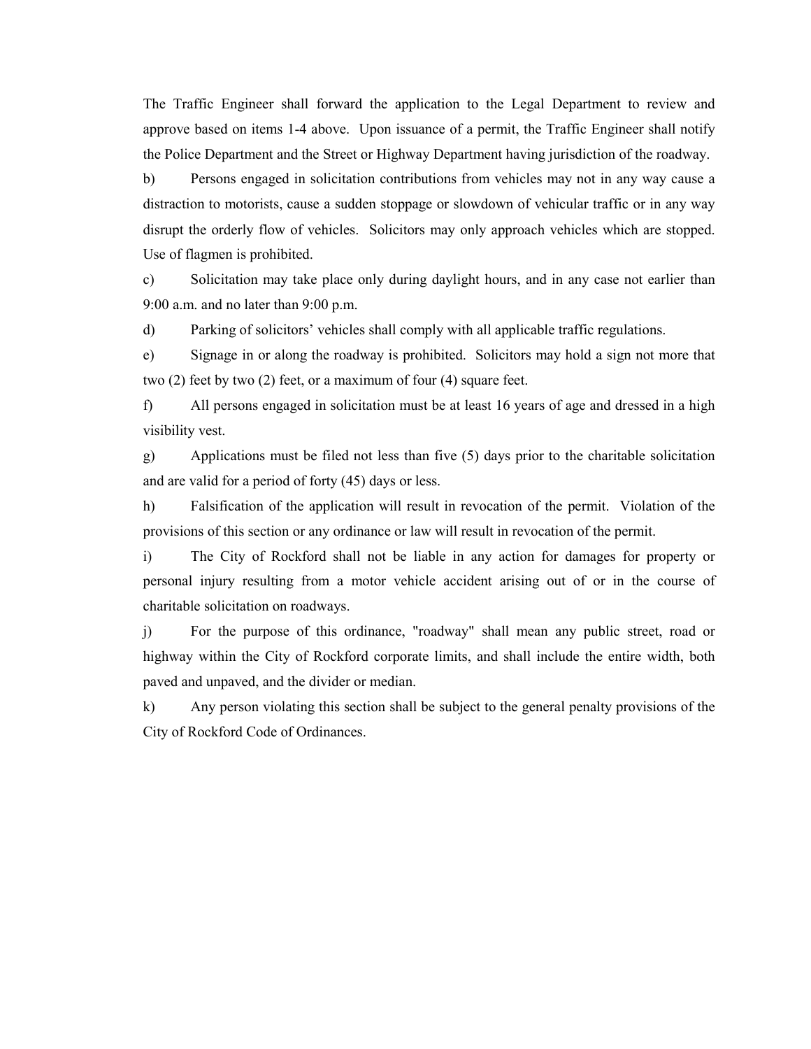The Traffic Engineer shall forward the application to the Legal Department to review and approve based on items 1-4 above. Upon issuance of a permit, the Traffic Engineer shall notify the Police Department and the Street or Highway Department having jurisdiction of the roadway.

b) Persons engaged in solicitation contributions from vehicles may not in any way cause a distraction to motorists, cause a sudden stoppage or slowdown of vehicular traffic or in any way disrupt the orderly flow of vehicles. Solicitors may only approach vehicles which are stopped. Use of flagmen is prohibited.

c) Solicitation may take place only during daylight hours, and in any case not earlier than 9:00 a.m. and no later than 9:00 p.m.

d) Parking of solicitors' vehicles shall comply with all applicable traffic regulations.

e) Signage in or along the roadway is prohibited. Solicitors may hold a sign not more that two (2) feet by two (2) feet, or a maximum of four (4) square feet.

f) All persons engaged in solicitation must be at least 16 years of age and dressed in a high visibility vest.

g) Applications must be filed not less than five (5) days prior to the charitable solicitation and are valid for a period of forty (45) days or less.

h) Falsification of the application will result in revocation of the permit. Violation of the provisions of this section or any ordinance or law will result in revocation of the permit.

i) The City of Rockford shall not be liable in any action for damages for property or personal injury resulting from a motor vehicle accident arising out of or in the course of charitable solicitation on roadways.

j) For the purpose of this ordinance, "roadway" shall mean any public street, road or highway within the City of Rockford corporate limits, and shall include the entire width, both paved and unpaved, and the divider or median.

k) Any person violating this section shall be subject to the general penalty provisions of the City of Rockford Code of Ordinances.